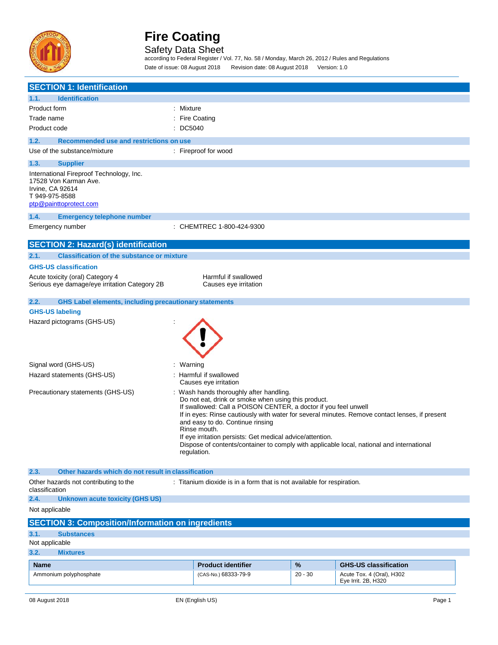

Safety Data Sheet according to Federal Register / Vol. 77, No. 58 / Monday, March 26, 2012 / Rules and Regulations Date of issue: 08 August 2018 Revision date: 08 August 2018 Version: 1.0

| <b>SECTION 1: Identification</b>                                                                                                                      |                                                                                                                                                                                                                                                                                                                                                                                                                                                                                                                           |           |                              |  |
|-------------------------------------------------------------------------------------------------------------------------------------------------------|---------------------------------------------------------------------------------------------------------------------------------------------------------------------------------------------------------------------------------------------------------------------------------------------------------------------------------------------------------------------------------------------------------------------------------------------------------------------------------------------------------------------------|-----------|------------------------------|--|
| <b>Identification</b><br>1.1.                                                                                                                         |                                                                                                                                                                                                                                                                                                                                                                                                                                                                                                                           |           |                              |  |
| Product form                                                                                                                                          | : Mixture                                                                                                                                                                                                                                                                                                                                                                                                                                                                                                                 |           |                              |  |
| Trade name                                                                                                                                            | : Fire Coating                                                                                                                                                                                                                                                                                                                                                                                                                                                                                                            |           |                              |  |
| Product code                                                                                                                                          | : DC5040                                                                                                                                                                                                                                                                                                                                                                                                                                                                                                                  |           |                              |  |
| Recommended use and restrictions on use<br>1.2.                                                                                                       |                                                                                                                                                                                                                                                                                                                                                                                                                                                                                                                           |           |                              |  |
| Use of the substance/mixture                                                                                                                          | : Fireproof for wood                                                                                                                                                                                                                                                                                                                                                                                                                                                                                                      |           |                              |  |
| 1.3.<br><b>Supplier</b>                                                                                                                               |                                                                                                                                                                                                                                                                                                                                                                                                                                                                                                                           |           |                              |  |
| International Fireproof Technology, Inc.<br>17528 Von Karman Ave.<br>Irvine, CA 92614<br>T 949-975-8588<br>ptp@painttoprotect.com                     |                                                                                                                                                                                                                                                                                                                                                                                                                                                                                                                           |           |                              |  |
| 1.4.<br><b>Emergency telephone number</b>                                                                                                             |                                                                                                                                                                                                                                                                                                                                                                                                                                                                                                                           |           |                              |  |
| Emergency number                                                                                                                                      | CHEMTREC 1-800-424-9300                                                                                                                                                                                                                                                                                                                                                                                                                                                                                                   |           |                              |  |
| <b>SECTION 2: Hazard(s) identification</b>                                                                                                            |                                                                                                                                                                                                                                                                                                                                                                                                                                                                                                                           |           |                              |  |
| 2.1.<br><b>Classification of the substance or mixture</b>                                                                                             |                                                                                                                                                                                                                                                                                                                                                                                                                                                                                                                           |           |                              |  |
| <b>GHS-US classification</b>                                                                                                                          |                                                                                                                                                                                                                                                                                                                                                                                                                                                                                                                           |           |                              |  |
| Acute toxicity (oral) Category 4<br>Serious eye damage/eye irritation Category 2B                                                                     | Harmful if swallowed<br>Causes eye irritation                                                                                                                                                                                                                                                                                                                                                                                                                                                                             |           |                              |  |
| <b>GHS Label elements, including precautionary statements</b><br>2.2.<br><b>GHS-US labeling</b><br>Hazard pictograms (GHS-US)<br>Signal word (GHS-US) | : Warning                                                                                                                                                                                                                                                                                                                                                                                                                                                                                                                 |           |                              |  |
| Hazard statements (GHS-US)                                                                                                                            | : Harmful if swallowed                                                                                                                                                                                                                                                                                                                                                                                                                                                                                                    |           |                              |  |
| Precautionary statements (GHS-US)                                                                                                                     | Causes eye irritation<br>: Wash hands thoroughly after handling.<br>Do not eat, drink or smoke when using this product.<br>If swallowed: Call a POISON CENTER, a doctor if you feel unwell<br>If in eyes: Rinse cautiously with water for several minutes. Remove contact lenses, if present<br>and easy to do. Continue rinsing<br>Rinse mouth.<br>If eye irritation persists: Get medical advice/attention.<br>Dispose of contents/container to comply with applicable local, national and international<br>regulation. |           |                              |  |
| 2.3.<br>Other hazards which do not result in classification                                                                                           |                                                                                                                                                                                                                                                                                                                                                                                                                                                                                                                           |           |                              |  |
| Other hazards not contributing to the<br>classification                                                                                               | : Titanium dioxide is in a form that is not available for respiration.                                                                                                                                                                                                                                                                                                                                                                                                                                                    |           |                              |  |
| 2.4.<br><b>Unknown acute toxicity (GHS US)</b>                                                                                                        |                                                                                                                                                                                                                                                                                                                                                                                                                                                                                                                           |           |                              |  |
| Not applicable                                                                                                                                        |                                                                                                                                                                                                                                                                                                                                                                                                                                                                                                                           |           |                              |  |
| <b>SECTION 3: Composition/Information on ingredients</b>                                                                                              |                                                                                                                                                                                                                                                                                                                                                                                                                                                                                                                           |           |                              |  |
| 3.1.<br><b>Substances</b>                                                                                                                             |                                                                                                                                                                                                                                                                                                                                                                                                                                                                                                                           |           |                              |  |
| Not applicable                                                                                                                                        |                                                                                                                                                                                                                                                                                                                                                                                                                                                                                                                           |           |                              |  |
| 3.2.<br><b>Mixtures</b>                                                                                                                               |                                                                                                                                                                                                                                                                                                                                                                                                                                                                                                                           |           |                              |  |
| <b>Name</b>                                                                                                                                           | <b>Product identifier</b>                                                                                                                                                                                                                                                                                                                                                                                                                                                                                                 | %         | <b>GHS-US classification</b> |  |
| Ammonium polyphosphate                                                                                                                                | (CAS-No.) 68333-79-9                                                                                                                                                                                                                                                                                                                                                                                                                                                                                                      | $20 - 30$ | Acute Tox. 4 (Oral), H302    |  |
|                                                                                                                                                       |                                                                                                                                                                                                                                                                                                                                                                                                                                                                                                                           |           | Eye Irrit. 2B, H320          |  |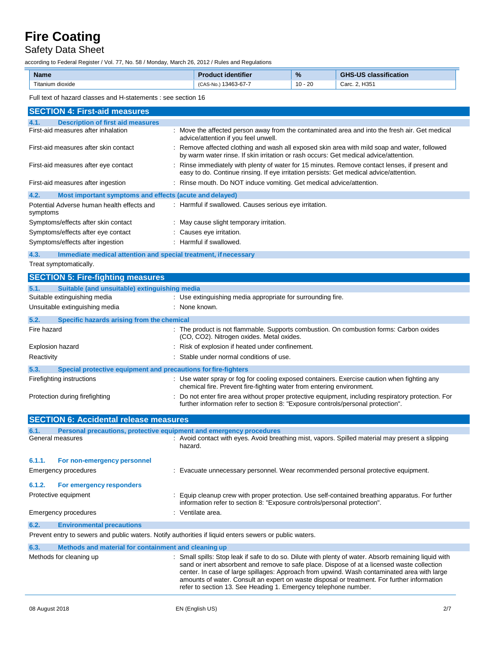Safety Data Sheet

according to Federal Register / Vol. 77, No. 58 / Monday, March 26, 2012 / Rules and Regulations

| <b>Name</b>      | oduct identifier          | $\frac{9}{6}$ | classification<br><b>GHS-US</b> |
|------------------|---------------------------|---------------|---------------------------------|
| Titanium dioxide | , 13463-67-7<br>(CAS-No., | 20<br>$10 -$  | Carc. 2, H351                   |

Full text of hazard classes and H-statements : see section 16

| Full text of Hazaru classes and Fristatements . See Section To                                          |                                                                                                                                                                                                                                                                                                                                                                                                                                                                     |  |  |
|---------------------------------------------------------------------------------------------------------|---------------------------------------------------------------------------------------------------------------------------------------------------------------------------------------------------------------------------------------------------------------------------------------------------------------------------------------------------------------------------------------------------------------------------------------------------------------------|--|--|
| <b>SECTION 4: First-aid measures</b>                                                                    |                                                                                                                                                                                                                                                                                                                                                                                                                                                                     |  |  |
| <b>Description of first aid measures</b><br>4.1.                                                        |                                                                                                                                                                                                                                                                                                                                                                                                                                                                     |  |  |
| First-aid measures after inhalation                                                                     | : Move the affected person away from the contaminated area and into the fresh air. Get medical<br>advice/attention if you feel unwell.                                                                                                                                                                                                                                                                                                                              |  |  |
| First-aid measures after skin contact                                                                   | : Remove affected clothing and wash all exposed skin area with mild soap and water, followed<br>by warm water rinse. If skin irritation or rash occurs: Get medical advice/attention.                                                                                                                                                                                                                                                                               |  |  |
| First-aid measures after eye contact                                                                    | : Rinse immediately with plenty of water for 15 minutes. Remove contact lenses, if present and<br>easy to do. Continue rinsing. If eye irritation persists: Get medical advice/attention.                                                                                                                                                                                                                                                                           |  |  |
| First-aid measures after ingestion                                                                      | : Rinse mouth. Do NOT induce vomiting. Get medical advice/attention.                                                                                                                                                                                                                                                                                                                                                                                                |  |  |
| 4.2.<br>Most important symptoms and effects (acute and delayed)                                         |                                                                                                                                                                                                                                                                                                                                                                                                                                                                     |  |  |
| Potential Adverse human health effects and<br>symptoms                                                  | : Harmful if swallowed. Causes serious eye irritation.                                                                                                                                                                                                                                                                                                                                                                                                              |  |  |
| Symptoms/effects after skin contact                                                                     | : May cause slight temporary irritation.                                                                                                                                                                                                                                                                                                                                                                                                                            |  |  |
| Symptoms/effects after eye contact                                                                      | : Causes eye irritation.                                                                                                                                                                                                                                                                                                                                                                                                                                            |  |  |
| Symptoms/effects after ingestion                                                                        | : Harmful if swallowed.                                                                                                                                                                                                                                                                                                                                                                                                                                             |  |  |
| 4.3.<br>Immediate medical attention and special treatment, if necessary                                 |                                                                                                                                                                                                                                                                                                                                                                                                                                                                     |  |  |
| Treat symptomatically.                                                                                  |                                                                                                                                                                                                                                                                                                                                                                                                                                                                     |  |  |
| <b>SECTION 5: Fire-fighting measures</b>                                                                |                                                                                                                                                                                                                                                                                                                                                                                                                                                                     |  |  |
| 5.1.<br>Suitable (and unsuitable) extinguishing media                                                   |                                                                                                                                                                                                                                                                                                                                                                                                                                                                     |  |  |
| Suitable extinguishing media                                                                            | : Use extinguishing media appropriate for surrounding fire.                                                                                                                                                                                                                                                                                                                                                                                                         |  |  |
| Unsuitable extinguishing media                                                                          | : None known.                                                                                                                                                                                                                                                                                                                                                                                                                                                       |  |  |
| 5.2.<br>Specific hazards arising from the chemical                                                      |                                                                                                                                                                                                                                                                                                                                                                                                                                                                     |  |  |
| Fire hazard                                                                                             | : The product is not flammable. Supports combustion. On combustion forms: Carbon oxides<br>(CO, CO2). Nitrogen oxides. Metal oxides.                                                                                                                                                                                                                                                                                                                                |  |  |
| Explosion hazard                                                                                        | Risk of explosion if heated under confinement.                                                                                                                                                                                                                                                                                                                                                                                                                      |  |  |
| Reactivity                                                                                              | Stable under normal conditions of use.                                                                                                                                                                                                                                                                                                                                                                                                                              |  |  |
| 5.3.<br>Special protective equipment and precautions for fire-fighters                                  |                                                                                                                                                                                                                                                                                                                                                                                                                                                                     |  |  |
| Firefighting instructions                                                                               | : Use water spray or fog for cooling exposed containers. Exercise caution when fighting any                                                                                                                                                                                                                                                                                                                                                                         |  |  |
|                                                                                                         | chemical fire. Prevent fire-fighting water from entering environment.                                                                                                                                                                                                                                                                                                                                                                                               |  |  |
| Protection during firefighting                                                                          | : Do not enter fire area without proper protective equipment, including respiratory protection. For<br>further information refer to section 8: "Exposure controls/personal protection".                                                                                                                                                                                                                                                                             |  |  |
| <b>SECTION 6: Accidental release measures</b>                                                           |                                                                                                                                                                                                                                                                                                                                                                                                                                                                     |  |  |
| Personal precautions, protective equipment and emergency procedures<br>6.1.                             |                                                                                                                                                                                                                                                                                                                                                                                                                                                                     |  |  |
| General measures                                                                                        | : Avoid contact with eyes. Avoid breathing mist, vapors. Spilled material may present a slipping<br>hazard.                                                                                                                                                                                                                                                                                                                                                         |  |  |
| 6.1.1.<br>For non-emergency personnel                                                                   |                                                                                                                                                                                                                                                                                                                                                                                                                                                                     |  |  |
| Emergency procedures                                                                                    | : Evacuate unnecessary personnel. Wear recommended personal protective equipment.                                                                                                                                                                                                                                                                                                                                                                                   |  |  |
| 6.1.2.<br>For emergency responders                                                                      |                                                                                                                                                                                                                                                                                                                                                                                                                                                                     |  |  |
| Protective equipment                                                                                    | : Equip cleanup crew with proper protection. Use self-contained breathing apparatus. For further<br>information refer to section 8: "Exposure controls/personal protection".                                                                                                                                                                                                                                                                                        |  |  |
| <b>Emergency procedures</b>                                                                             | : Ventilate area.                                                                                                                                                                                                                                                                                                                                                                                                                                                   |  |  |
| 6.2.<br><b>Environmental precautions</b>                                                                |                                                                                                                                                                                                                                                                                                                                                                                                                                                                     |  |  |
| Prevent entry to sewers and public waters. Notify authorities if liquid enters sewers or public waters. |                                                                                                                                                                                                                                                                                                                                                                                                                                                                     |  |  |
| 6.3.<br>Methods and material for containment and cleaning up                                            |                                                                                                                                                                                                                                                                                                                                                                                                                                                                     |  |  |
| Methods for cleaning up                                                                                 | Small spills: Stop leak if safe to do so. Dilute with plenty of water. Absorb remaining liquid with<br>sand or inert absorbent and remove to safe place. Dispose of at a licensed waste collection<br>center. In case of large spillages: Approach from upwind. Wash contaminated area with large<br>amounts of water. Consult an expert on waste disposal or treatment. For further information<br>refer to section 13. See Heading 1. Emergency telephone number. |  |  |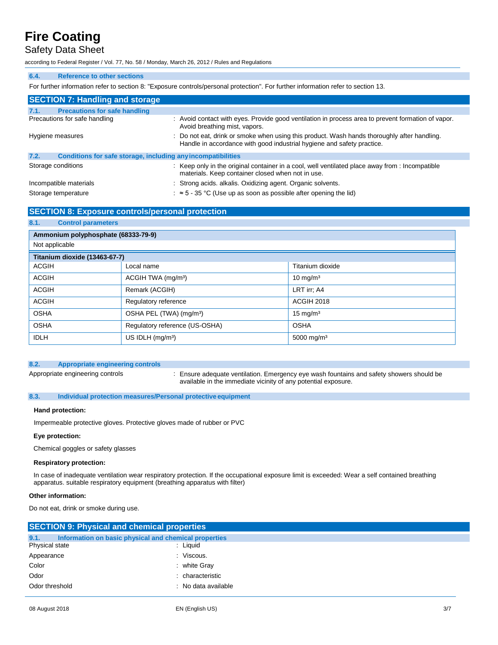# Safety Data Sheet

according to Federal Register / Vol. 77, No. 58 / Monday, March 26, 2012 / Rules and Regulations

#### **6.4. Reference to other sections**

For further information refer to section 8: "Exposure controls/personal protection". For further information refer to section 13.

| <b>SECTION 7: Handling and storage</b>                               |                                                                                                                                                                       |  |  |  |
|----------------------------------------------------------------------|-----------------------------------------------------------------------------------------------------------------------------------------------------------------------|--|--|--|
| <b>Precautions for safe handling</b><br>7.1.                         |                                                                                                                                                                       |  |  |  |
| Precautions for safe handling                                        | : Avoid contact with eyes. Provide good ventilation in process area to prevent formation of vapor.<br>Avoid breathing mist, vapors.                                   |  |  |  |
| Hygiene measures                                                     | : Do not eat, drink or smoke when using this product. Wash hands thoroughly after handling.<br>Handle in accordance with good industrial hygiene and safety practice. |  |  |  |
| 7.2.<br>Conditions for safe storage, including any incompatibilities |                                                                                                                                                                       |  |  |  |
| Storage conditions                                                   | : Keep only in the original container in a cool, well ventilated place away from : Incompatible<br>materials. Keep container closed when not in use.                  |  |  |  |
| Incompatible materials                                               | : Strong acids. alkalis. Oxidizing agent. Organic solvents.                                                                                                           |  |  |  |
| Storage temperature                                                  | $\approx$ 5 - 35 °C (Use up as soon as possible after opening the lid)                                                                                                |  |  |  |

## **SECTION 8: Exposure controls/personal protection**

# **Ammonium polyphosphate (68333-79-9)** Not applicable **Titanium dioxide (13463-67-7)** ACGIH **Local name** Titanium dioxide **Titanium dioxide** ACGIH ACGIH TWA (mg/mª) 10 mg/m<sup>3</sup> ACGIH Remark (ACGIH) REMARK (ACGIH) REMARK (ACGIH) ACGIH Regulatory reference ACGIH 2018 OSHA OSHA PEL (TWA) (mg/m<sup>3</sup>) 15 mg/m<sup>3</sup> OSHA Regulatory reference (US-OSHA) OSHA  $|DLH$  US IDLH (mg/m<sup>3</sup>)  $|5000 \text{ mq/m}^3$ **8.1. Control parameters**

### **8.2. Appropriate engineering controls**

Appropriate engineering controls : Ensure adequate ventilation. Emergency eye wash fountains and safety showers should be available in the immediate vicinity of any potential exposure.

### **8.3. Individual protection measures/Personal protective equipment**

#### **Hand protection:**

Impermeable protective gloves. Protective gloves made of rubber or PVC

#### **Eye protection:**

Chemical goggles or safety glasses

#### **Respiratory protection:**

In case of inadequate ventilation wear respiratory protection. If the occupational exposure limit is exceeded: Wear a self contained breathing apparatus. suitable respiratory equipment (breathing apparatus with filter)

### **Other information:**

Do not eat, drink or smoke during use.

| <b>SECTION 9: Physical and chemical properties</b>            |                     |  |  |  |  |
|---------------------------------------------------------------|---------------------|--|--|--|--|
| 9.1.<br>Information on basic physical and chemical properties |                     |  |  |  |  |
| Physical state                                                | : Liquid            |  |  |  |  |
| Appearance                                                    | : Viscous.          |  |  |  |  |
| Color                                                         | $:$ white Gray      |  |  |  |  |
| Odor                                                          | : characteristic    |  |  |  |  |
| Odor threshold                                                | : No data available |  |  |  |  |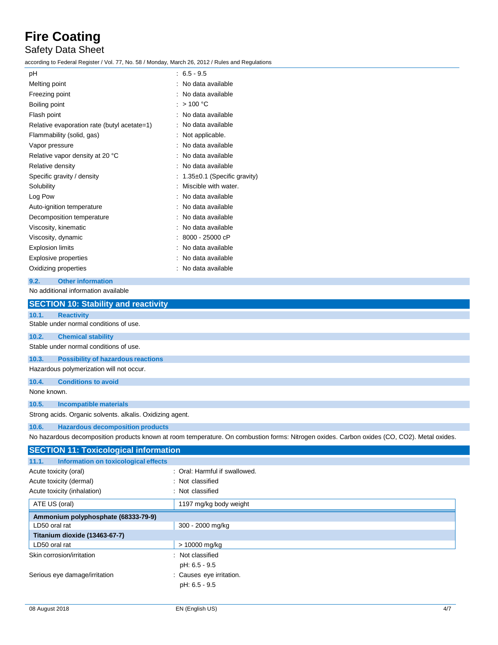# Safety Data Sheet

according to Federal Register / Vol. 77, No. 58 / Monday, March 26, 2012 / Rules and Regulations

| pH                                                 | $: 6.5 - 9.5$               |
|----------------------------------------------------|-----------------------------|
| Melting point                                      | : No data available         |
| Freezing point                                     | No data available           |
| Boiling point                                      | : $> 100 °C$                |
| Flash point                                        | No data available           |
| Relative evaporation rate (butyl acetate=1)        | No data available           |
| Flammability (solid, gas)                          | Not applicable.             |
| Vapor pressure                                     | No data available           |
| Relative vapor density at 20 °C                    | No data available           |
| Relative density                                   | No data available           |
| Specific gravity / density                         | 1.35±0.1 (Specific gravity) |
| Solubility                                         | Miscible with water.        |
| Log Pow                                            | No data available           |
| Auto-ignition temperature                          | No data available           |
| Decomposition temperature                          | No data available           |
| Viscosity, kinematic                               | No data available           |
| Viscosity, dynamic                                 | 8000 - 25000 cP             |
| <b>Explosion limits</b>                            | No data available           |
| <b>Explosive properties</b>                        | No data available           |
| Oxidizing properties                               | : No data available         |
| <b>Other information</b><br>9.2.                   |                             |
| No additional information available                |                             |
| <b>SECTION 10: Stability and reactivity</b>        |                             |
| 10.1.<br><b>Reactivity</b>                         |                             |
| Stable under normal conditions of use.             |                             |
| 10.2.<br><b>Chemical stability</b>                 |                             |
| Stable under normal conditions of use.             |                             |
| 10.3.<br><b>Possibility of hazardous reactions</b> |                             |

Hazardous polymerization will not occur.

**10.4. Conditions to avoid**

None known.

## **10.5. Incompatible materials**

Strong acids. Organic solvents. alkalis. Oxidizing agent.

## **10.6. Hazardous decomposition products**

No hazardous decomposition products known at room temperature. On combustion forms: Nitrogen oxides. Carbon oxides (CO, CO2). Metal oxides.

| <b>SECTION 11: Toxicological information</b> |  |  |  |  |
|----------------------------------------------|--|--|--|--|
|                                              |  |  |  |  |
| : Oral: Harmful if swallowed.                |  |  |  |  |
| : Not classified                             |  |  |  |  |
| : Not classified                             |  |  |  |  |
| 1197 mg/kg body weight                       |  |  |  |  |
|                                              |  |  |  |  |
| 300 - 2000 mg/kg                             |  |  |  |  |
|                                              |  |  |  |  |
| > 10000 mg/kg                                |  |  |  |  |
| : Not classified                             |  |  |  |  |
| pH: 6.5 - 9.5                                |  |  |  |  |
| : Causes eye irritation.                     |  |  |  |  |
| pH: 6.5 - 9.5                                |  |  |  |  |
|                                              |  |  |  |  |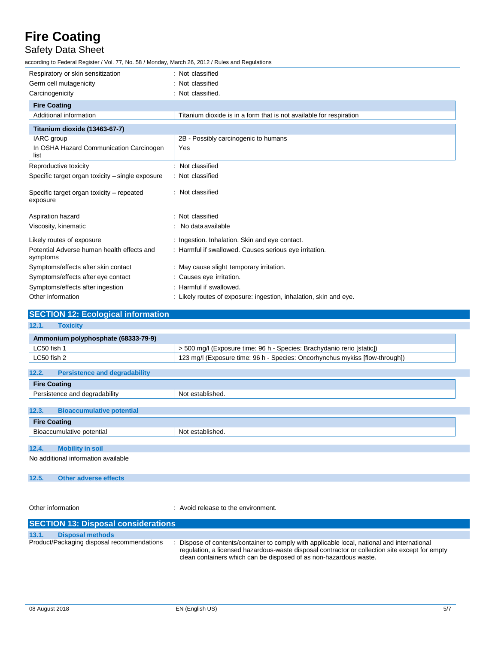Safety Data Sheet

according to Federal Register / Vol. 77, No. 58 / Monday, March 26, 2012 / Rules and Regulations

| Respiratory or skin sensitization                      | : Not classified                                                    |
|--------------------------------------------------------|---------------------------------------------------------------------|
| Germ cell mutagenicity                                 | Not classified                                                      |
| Carcinogenicity                                        | : Not classified.                                                   |
| <b>Fire Coating</b>                                    |                                                                     |
| Additional information                                 | Titanium dioxide is in a form that is not available for respiration |
| Titanium dioxide (13463-67-7)                          |                                                                     |
| IARC group                                             | 2B - Possibly carcinogenic to humans                                |
| In OSHA Hazard Communication Carcinogen<br>list        | Yes                                                                 |
| Reproductive toxicity                                  | Not classified                                                      |
| Specific target organ toxicity – single exposure       | : Not classified                                                    |
| Specific target organ toxicity – repeated<br>exposure  | Not classified                                                      |
| Aspiration hazard                                      | : Not classified                                                    |
| Viscosity, kinematic                                   | No data available                                                   |
| Likely routes of exposure                              | : Ingestion. Inhalation. Skin and eye contact.                      |
| Potential Adverse human health effects and<br>symptoms | : Harmful if swallowed. Causes serious eye irritation.              |
| Symptoms/effects after skin contact                    | : May cause slight temporary irritation.                            |
| Symptoms/effects after eye contact                     | : Causes eye irritation.                                            |
| Symptoms/effects after ingestion                       | : Harmful if swallowed.                                             |
| Other information                                      | : Likely routes of exposure: ingestion, inhalation, skin and eye.   |

| <b>SECTION 12: Ecological information</b>     |                                                                              |
|-----------------------------------------------|------------------------------------------------------------------------------|
| 12.1.<br><b>Toxicity</b>                      |                                                                              |
| Ammonium polyphosphate (68333-79-9)           |                                                                              |
| LC50 fish 1                                   | > 500 mg/l (Exposure time: 96 h - Species: Brachydanio rerio [static])       |
| LC50 fish 2                                   | 123 mg/l (Exposure time: 96 h - Species: Oncorhynchus mykiss [flow-through]) |
|                                               |                                                                              |
| 12.2.<br><b>Persistence and degradability</b> |                                                                              |

| <b>Fire Coating</b>                       |                  |
|-------------------------------------------|------------------|
| Persistence and degradability             | Not established. |
|                                           |                  |
| 12.3.<br><b>Bioaccumulative potential</b> |                  |
| <b>Fire Coating</b>                       |                  |
| Bioaccumulative potential                 | Not established. |
|                                           |                  |
| 12.4<br><b>Mobility in soil</b>           |                  |

No additional information available

### **12.5. Other adverse effects**

Other information **COLOGY COLOGY COLOGY COLOGY COLOGY COLOGY COLOGY COLOGY COLOGY COLOGY COLOGY COLOGY COLOGY COLOGY COLOGY COLOGY COLOGY COLOGY COLOGY COLOGY COLOGY COLOGY COLOG** 

| <b>SECTION 13: Disposal considerations</b> |                                            |                                                                                                                                                                                                                                                                    |  |  |  |
|--------------------------------------------|--------------------------------------------|--------------------------------------------------------------------------------------------------------------------------------------------------------------------------------------------------------------------------------------------------------------------|--|--|--|
| 13.1.                                      | <b>Disposal methods</b>                    |                                                                                                                                                                                                                                                                    |  |  |  |
|                                            | Product/Packaging disposal recommendations | : Dispose of contents/container to comply with applicable local, national and international<br>regulation, a licensed hazardous-waste disposal contractor or collection site except for empty<br>clean containers which can be disposed of as non-hazardous waste. |  |  |  |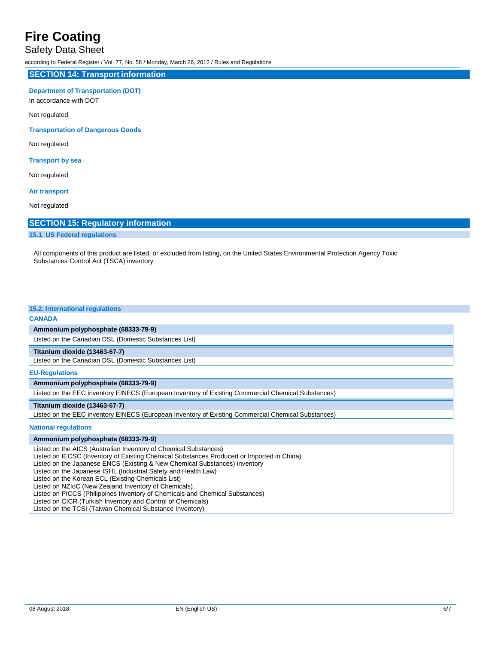## Safety Data Sheet

according to Federal Register / Vol. 77, No. 58 / Monday, March 26, 2012 / Rules and Regulations

#### **SECTION 14: Transport information**

#### **Department of Transportation (DOT)**

In accordance with DOT

Not regulated

#### **Transportation of Dangerous Goods**

Not regulated

#### **Transport by sea**

Not regulated

#### **Air transport**

Not regulated

## **SECTION 15: Regulatory information**

#### **15.1. US Federal regulations**

All components of this product are listed, or excluded from listing, on the United States Environmental Protection Agency Toxic Substances Control Act (TSCA) inventory

#### **15.2. International regulations**

#### **CANADA**

#### **Ammonium polyphosphate (68333-79-9)**

Listed on the Canadian DSL (Domestic Substances List)

#### **Titanium dioxide (13463-67-7)**

Listed on the Canadian DSL (Domestic Substances List)

### **EU-Regulations**

### **Ammonium polyphosphate (68333-79-9)**

Listed on the EEC inventory EINECS (European Inventory of Existing Commercial Chemical Substances)

#### **Titanium dioxide (13463-67-7)**

Listed on the EEC inventory EINECS (European Inventory of Existing Commercial Chemical Substances)

#### **National regulations**

**Ammonium polyphosphate (68333-79-9)**

- Listed on the AICS (Australian Inventory of Chemical Substances)
- Listed on IECSC (Inventory of Existing Chemical Substances Produced or Imported in China)
- Listed on the Japanese ENCS (Existing & New Chemical Substances) inventory
- Listed on the Japanese ISHL (Industrial Safety and Health Law)

Listed on the Korean ECL (Existing Chemicals List)

Listed on NZIoC (New Zealand Inventory of Chemicals)

- Listed on PICCS (Philippines Inventory of Chemicals and Chemical Substances)
- Listed on CICR (Turkish Inventory and Control of Chemicals)

Listed on the TCSI (Taiwan Chemical Substance Inventory)